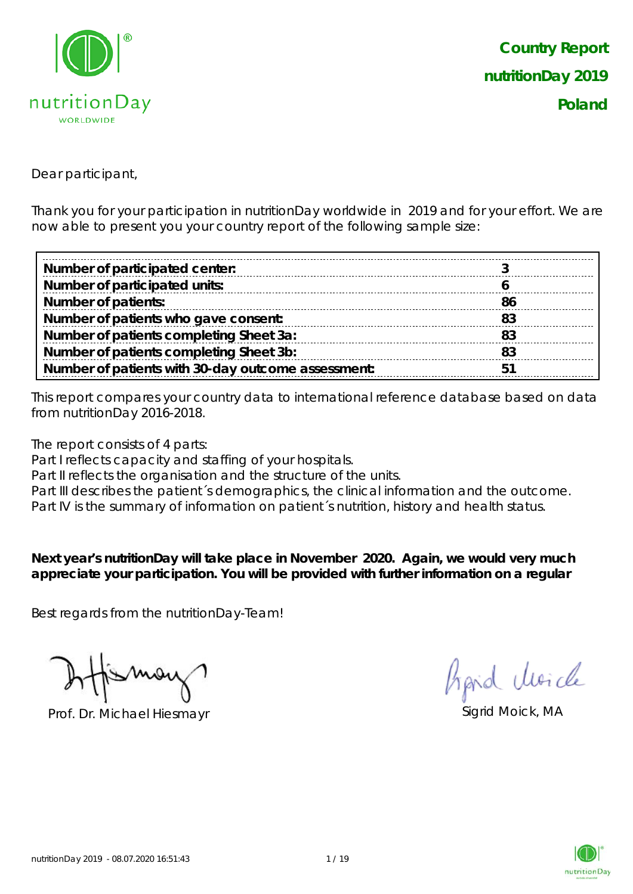

Dear participant,

Thank you for your participation in nutritionDay worldwide in 2019 and for your effort. We are now able to present you your country report of the following sample size:

| Number of participated center:                     |    |
|----------------------------------------------------|----|
| Number of participated units:                      |    |
| <b>Number of patients:</b>                         | 86 |
| Number of patients who gave consent:               | 83 |
| Number of patients completing Sheet 3a:            | 83 |
| Number of patients completing Sheet 3b:            | 83 |
| Number of patients with 30-day outcome assessment: | 5  |

This report compares your country data to international reference database based on data from nutritionDay 2016-2018.

The report consists of 4 parts:

Part I reflects capacity and staffing of your hospitals.

Part II reflects the organisation and the structure of the units.

Part III describes the patient's demographics, the clinical information and the outcome.

Part IV is the summary of information on patient´s nutrition, history and health status.

**Next year's nutritionDay will take place in November 2020. Again, we would very much appreciate your participation. You will be provided with further information on a regular** 

Best regards from the nutritionDay-Team!

Prof. Dr. Michael Hiesmayr Sigrid Moick, MA

Aprid Moich

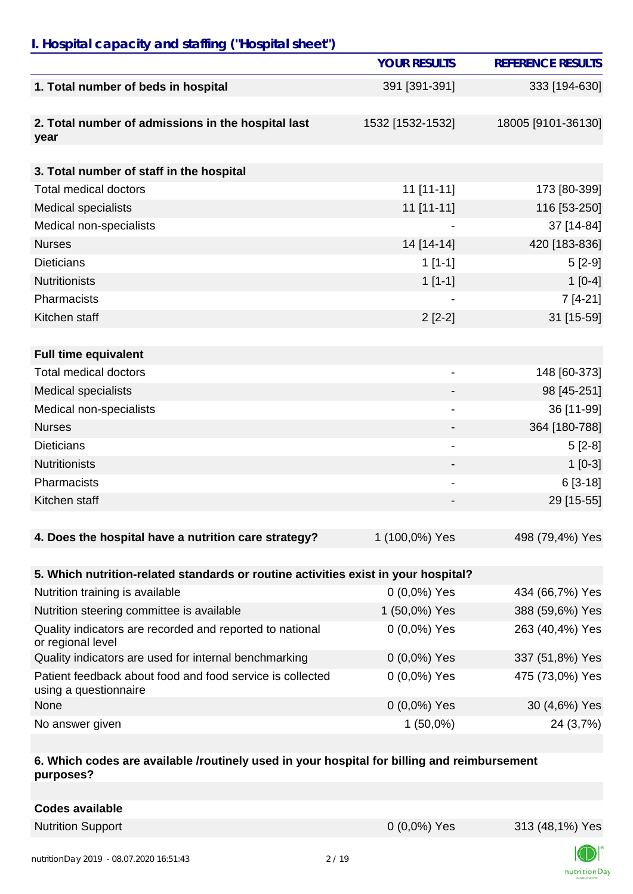### *I. Hospital capacity and staffing ("Hospital sheet")*

|                                                                                    | <b>YOUR RESULTS</b>          | <b>REFERENCE RESULTS</b> |
|------------------------------------------------------------------------------------|------------------------------|--------------------------|
| 1. Total number of beds in hospital                                                | 391 [391-391]                | 333 [194-630]            |
|                                                                                    |                              |                          |
| 2. Total number of admissions in the hospital last<br>year                         | 1532 [1532-1532]             | 18005 [9101-36130]       |
|                                                                                    |                              |                          |
| 3. Total number of staff in the hospital                                           |                              |                          |
| <b>Total medical doctors</b>                                                       | $11$ [11-11]                 | 173 [80-399]             |
| <b>Medical specialists</b>                                                         | 11 [11-11]                   | 116 [53-250]             |
| Medical non-specialists                                                            |                              | 37 [14-84]               |
| <b>Nurses</b>                                                                      | 14 [14-14]                   | 420 [183-836]            |
| <b>Dieticians</b>                                                                  | $1[1-1]$                     | $5[2-9]$                 |
| <b>Nutritionists</b>                                                               | $1[1-1]$                     | $1[0-4]$                 |
| Pharmacists                                                                        |                              | $7[4-21]$                |
| Kitchen staff                                                                      | $2[2-2]$                     | 31 [15-59]               |
|                                                                                    |                              |                          |
| <b>Full time equivalent</b>                                                        |                              |                          |
| Total medical doctors                                                              | $\qquad \qquad \blacksquare$ | 148 [60-373]             |
| <b>Medical specialists</b>                                                         |                              | 98 [45-251]              |
| Medical non-specialists                                                            |                              | 36 [11-99]               |
| <b>Nurses</b>                                                                      |                              | 364 [180-788]            |
| <b>Dieticians</b>                                                                  |                              | $5[2-8]$                 |
| <b>Nutritionists</b>                                                               |                              | $1[0-3]$                 |
| Pharmacists                                                                        |                              | $6[3-18]$                |
| Kitchen staff                                                                      |                              | 29 [15-55]               |
|                                                                                    |                              |                          |
| 4. Does the hospital have a nutrition care strategy?                               | 1 (100,0%) Yes               | 498 (79,4%) Yes          |
| 5. Which nutrition-related standards or routine activities exist in your hospital? |                              |                          |
| Nutrition training is available                                                    | $0(0,0\%)$ Yes               | 434 (66,7%) Yes          |
| Nutrition steering committee is available                                          | 1 (50,0%) Yes                | 388 (59,6%) Yes          |
| Quality indicators are recorded and reported to national<br>or regional level      | $0(0,0\%)$ Yes               | 263 (40,4%) Yes          |
| Quality indicators are used for internal benchmarking                              | 0 (0,0%) Yes                 | 337 (51,8%) Yes          |
| Patient feedback about food and food service is collected<br>using a questionnaire | 0 (0,0%) Yes                 | 475 (73,0%) Yes          |

| r alloni iocupach apoul iocu anu iocu scrìitic is collocicu<br>using a questionnaire | 0,0,0,0,100    |               |
|--------------------------------------------------------------------------------------|----------------|---------------|
| None                                                                                 | $0(0,0\%)$ Yes | 30 (4,6%) Yes |
| No answer given                                                                      | 1 (50,0%)      | 24 (3,7%)     |
|                                                                                      |                |               |

#### **6. Which codes are available /routinely used in your hospital for billing and reimbursement purposes?**

| <b>Codes available</b> |
|------------------------|
|------------------------|



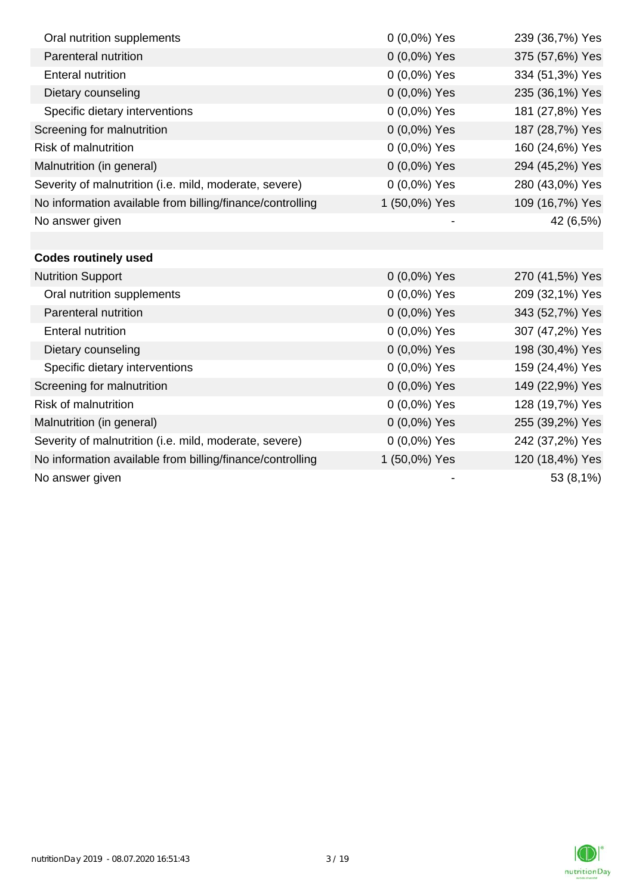| Oral nutrition supplements                                | $0(0,0\%)$ Yes | 239 (36,7%) Yes |
|-----------------------------------------------------------|----------------|-----------------|
| Parenteral nutrition                                      | 0 (0,0%) Yes   | 375 (57,6%) Yes |
| <b>Enteral nutrition</b>                                  | 0 (0,0%) Yes   | 334 (51,3%) Yes |
| Dietary counseling                                        | 0 (0,0%) Yes   | 235 (36,1%) Yes |
| Specific dietary interventions                            | 0 (0,0%) Yes   | 181 (27,8%) Yes |
| Screening for malnutrition                                | 0 (0,0%) Yes   | 187 (28,7%) Yes |
| <b>Risk of malnutrition</b>                               | 0 (0,0%) Yes   | 160 (24,6%) Yes |
| Malnutrition (in general)                                 | 0 (0,0%) Yes   | 294 (45,2%) Yes |
| Severity of malnutrition (i.e. mild, moderate, severe)    | 0 (0,0%) Yes   | 280 (43,0%) Yes |
| No information available from billing/finance/controlling | 1 (50,0%) Yes  | 109 (16,7%) Yes |
| No answer given                                           |                | 42 (6,5%)       |
|                                                           |                |                 |
| <b>Codes routinely used</b>                               |                |                 |
| <b>Nutrition Support</b>                                  | 0 (0,0%) Yes   | 270 (41,5%) Yes |
| Oral nutrition supplements                                | 0 (0,0%) Yes   | 209 (32,1%) Yes |
| Parenteral nutrition                                      | 0 (0,0%) Yes   | 343 (52,7%) Yes |
| <b>Enteral nutrition</b>                                  | 0 (0,0%) Yes   | 307 (47,2%) Yes |
| Dietary counseling                                        | $0(0,0\%)$ Yes | 198 (30,4%) Yes |
| Specific dietary interventions                            | 0 (0,0%) Yes   | 159 (24,4%) Yes |
| Screening for malnutrition                                | 0 (0,0%) Yes   | 149 (22,9%) Yes |
| <b>Risk of malnutrition</b>                               | $0(0,0\%)$ Yes | 128 (19,7%) Yes |
| Malnutrition (in general)                                 | 0 (0,0%) Yes   | 255 (39,2%) Yes |
| Severity of malnutrition (i.e. mild, moderate, severe)    | $0(0,0\%)$ Yes | 242 (37,2%) Yes |
| No information available from billing/finance/controlling | 1 (50,0%) Yes  | 120 (18,4%) Yes |
| No answer given                                           |                | 53 (8,1%)       |

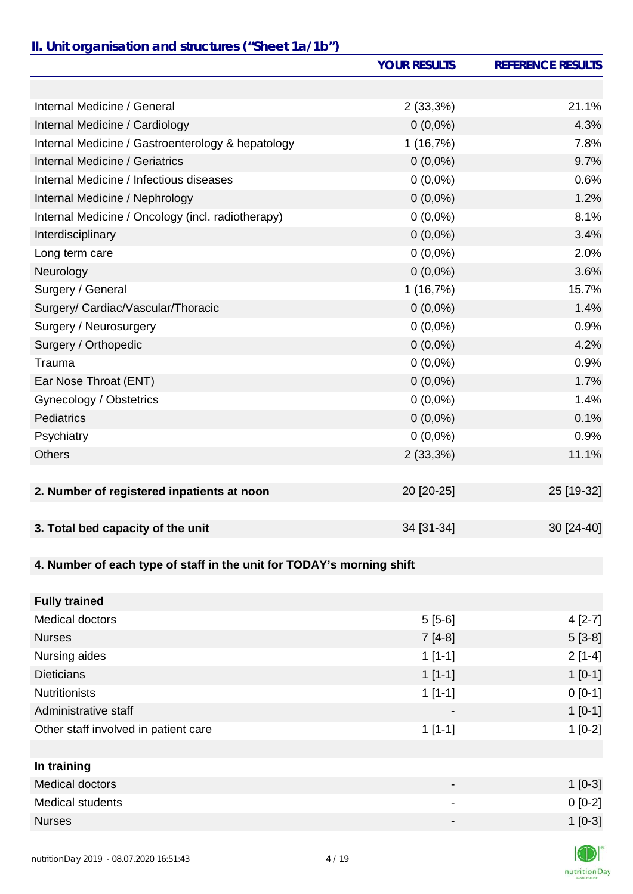# *II. Unit organisation and structures ("Sheet 1a/1b")*

|                                                                       | <b>YOUR RESULTS</b> | <b>REFERENCE RESULTS</b> |
|-----------------------------------------------------------------------|---------------------|--------------------------|
|                                                                       |                     |                          |
| Internal Medicine / General                                           | $2(33,3\%)$         | 21.1%                    |
| Internal Medicine / Cardiology                                        | $0(0,0\%)$          | 4.3%                     |
| Internal Medicine / Gastroenterology & hepatology                     | 1(16,7%)            | 7.8%                     |
| Internal Medicine / Geriatrics                                        | $0(0,0\%)$          | 9.7%                     |
| Internal Medicine / Infectious diseases                               | $0(0,0\%)$          | 0.6%                     |
| Internal Medicine / Nephrology                                        | $0(0,0\%)$          | 1.2%                     |
| Internal Medicine / Oncology (incl. radiotherapy)                     | $0(0,0\%)$          | 8.1%                     |
| Interdisciplinary                                                     | $0(0,0\%)$          | 3.4%                     |
| Long term care                                                        | $0(0,0\%)$          | 2.0%                     |
| Neurology                                                             | $0(0,0\%)$          | 3.6%                     |
| Surgery / General                                                     | 1(16,7%)            | 15.7%                    |
| Surgery/ Cardiac/Vascular/Thoracic                                    | $0(0,0\%)$          | 1.4%                     |
| Surgery / Neurosurgery                                                | $0(0,0\%)$          | 0.9%                     |
| Surgery / Orthopedic                                                  | $0(0,0\%)$          | 4.2%                     |
| Trauma                                                                | $0(0,0\%)$          | 0.9%                     |
| Ear Nose Throat (ENT)                                                 | $0(0,0\%)$          | 1.7%                     |
| Gynecology / Obstetrics                                               | $0(0,0\%)$          | 1.4%                     |
| <b>Pediatrics</b>                                                     | $0(0,0\%)$          | 0.1%                     |
| Psychiatry                                                            | $0(0,0\%)$          | 0.9%                     |
| <b>Others</b>                                                         | 2(33,3%)            | 11.1%                    |
|                                                                       |                     |                          |
| 2. Number of registered inpatients at noon                            | 20 [20-25]          | 25 [19-32]               |
|                                                                       |                     |                          |
| 3. Total bed capacity of the unit                                     | 34 [31-34]          | 30 [24-40]               |
|                                                                       |                     |                          |
| 4. Number of each type of staff in the unit for TODAY's morning shift |                     |                          |
|                                                                       |                     |                          |
| <b>Fully trained</b>                                                  |                     |                          |
| Medical doctors                                                       | $5[5-6]$            | $4[2-7]$                 |

| <b>Nurses</b>                        | $7[4-8]$                 | $5[3-8]$ |
|--------------------------------------|--------------------------|----------|
| Nursing aides                        | $1[1-1]$                 | $2[1-4]$ |
| <b>Dieticians</b>                    | $1[1-1]$                 | $1[0-1]$ |
| <b>Nutritionists</b>                 | $1[1-1]$                 | $0[0-1]$ |
| Administrative staff                 | $\overline{\phantom{a}}$ | $1[0-1]$ |
| Other staff involved in patient care | $1[1-1]$                 | $1[0-2]$ |
|                                      |                          |          |
| In training                          |                          |          |
| Medical doctors                      | $\,$                     | $1[0-3]$ |
| <b>Medical students</b>              | ۰                        | $0[0-2]$ |

Nurses  $1$  [0-3]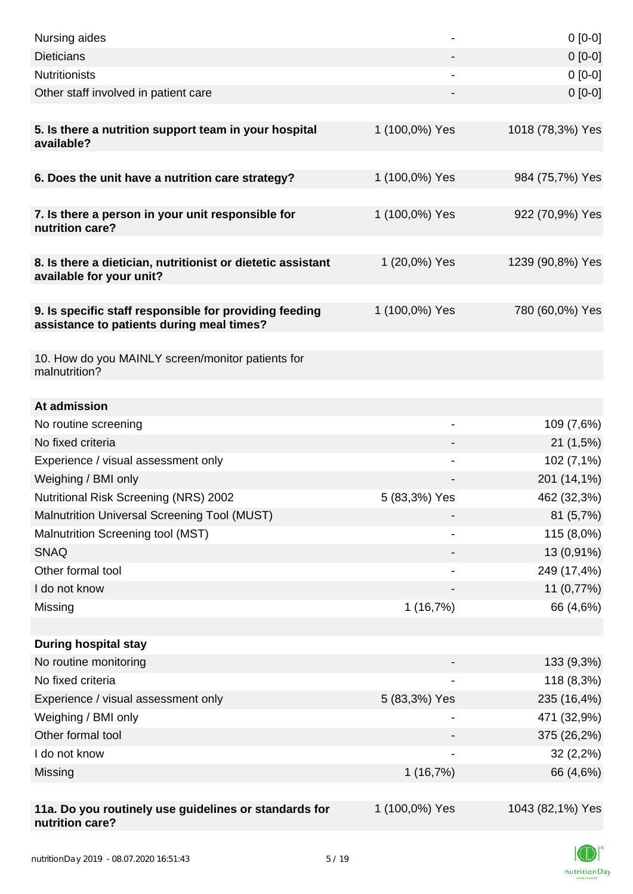| Nursing aides                                                                                       |                          | $0[0-0]$         |
|-----------------------------------------------------------------------------------------------------|--------------------------|------------------|
| <b>Dieticians</b>                                                                                   |                          | $0[0-0]$         |
| <b>Nutritionists</b>                                                                                |                          | $0[0-0]$         |
| Other staff involved in patient care                                                                |                          | $0 [0-0]$        |
|                                                                                                     |                          |                  |
| 5. Is there a nutrition support team in your hospital<br>available?                                 | 1 (100,0%) Yes           | 1018 (78,3%) Yes |
| 6. Does the unit have a nutrition care strategy?                                                    | 1 (100,0%) Yes           | 984 (75,7%) Yes  |
| 7. Is there a person in your unit responsible for<br>nutrition care?                                | 1 (100,0%) Yes           | 922 (70,9%) Yes  |
| 8. Is there a dietician, nutritionist or dietetic assistant<br>available for your unit?             | 1 (20,0%) Yes            | 1239 (90,8%) Yes |
| 9. Is specific staff responsible for providing feeding<br>assistance to patients during meal times? | 1 (100,0%) Yes           | 780 (60,0%) Yes  |
| 10. How do you MAINLY screen/monitor patients for<br>malnutrition?                                  |                          |                  |
| At admission                                                                                        |                          |                  |
| No routine screening                                                                                | $\overline{\phantom{a}}$ | 109 (7,6%)       |
| No fixed criteria                                                                                   |                          | 21(1,5%)         |
| Experience / visual assessment only                                                                 |                          | 102 (7,1%)       |
| Weighing / BMI only                                                                                 |                          | 201 (14,1%)      |
| <b>Nutritional Risk Screening (NRS) 2002</b>                                                        | 5 (83,3%) Yes            | 462 (32,3%)      |
| Malnutrition Universal Screening Tool (MUST)                                                        |                          | 81 (5,7%)        |
| Malnutrition Screening tool (MST)                                                                   | $\qquad \qquad$          | 115 (8,0%)       |
| <b>SNAQ</b>                                                                                         |                          | 13 (0,91%)       |
| Other formal tool                                                                                   |                          | 249 (17,4%)      |
| I do not know                                                                                       |                          | 11 (0,77%)       |
| Missing                                                                                             | 1(16,7%)                 | 66 (4,6%)        |
|                                                                                                     |                          |                  |
| <b>During hospital stay</b>                                                                         |                          |                  |
| No routine monitoring                                                                               |                          | 133 (9,3%)       |
| No fixed criteria                                                                                   |                          | 118 (8,3%)       |
| Experience / visual assessment only                                                                 | 5 (83,3%) Yes            | 235 (16,4%)      |
| Weighing / BMI only                                                                                 |                          | 471 (32,9%)      |
| Other formal tool                                                                                   |                          | 375 (26,2%)      |
| I do not know                                                                                       |                          | 32(2,2%)         |
| Missing                                                                                             | 1(16,7%)                 | 66 (4,6%)        |
|                                                                                                     |                          |                  |
| 11a. Do you routinely use guidelines or standards for<br>nutrition care?                            | 1 (100,0%) Yes           | 1043 (82,1%) Yes |

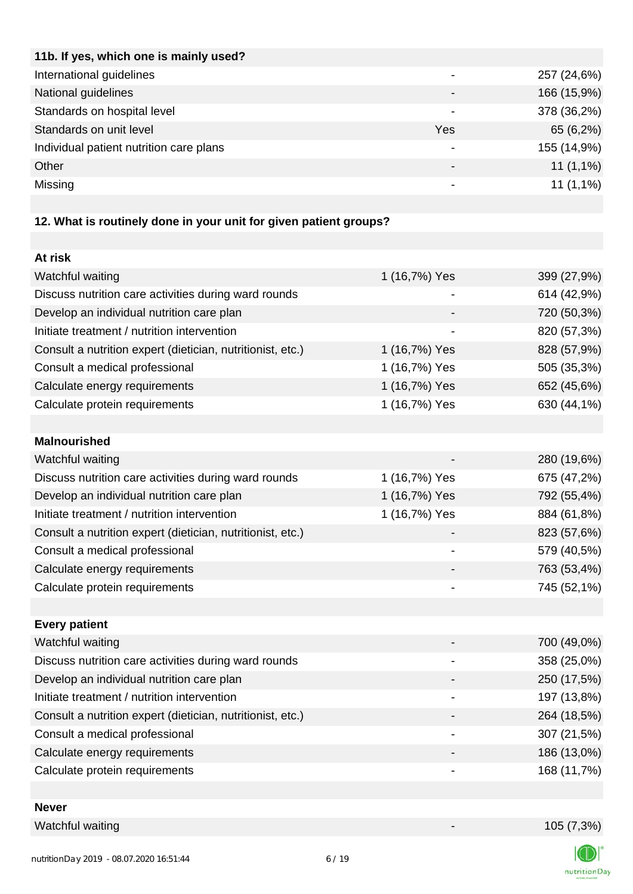| 11b. If yes, which one is mainly used?  |                          |             |
|-----------------------------------------|--------------------------|-------------|
| International guidelines                |                          | 257 (24,6%) |
| National guidelines                     |                          | 166 (15,9%) |
| Standards on hospital level             |                          | 378 (36,2%) |
| Standards on unit level                 | Yes                      | 65 (6,2%)   |
| Individual patient nutrition care plans |                          | 155 (14,9%) |
| Other                                   | $\overline{\phantom{0}}$ | $11(1,1\%)$ |
| Missing                                 | ۰                        | $11(1,1\%)$ |
|                                         |                          |             |

# **12. What is routinely done in your unit for given patient groups?**

| At risk                                                    |               |             |
|------------------------------------------------------------|---------------|-------------|
| Watchful waiting                                           | 1 (16,7%) Yes | 399 (27,9%) |
| Discuss nutrition care activities during ward rounds       |               | 614 (42,9%) |
| Develop an individual nutrition care plan                  |               | 720 (50,3%) |
| Initiate treatment / nutrition intervention                |               | 820 (57,3%) |
| Consult a nutrition expert (dietician, nutritionist, etc.) | 1 (16,7%) Yes | 828 (57,9%) |
| Consult a medical professional                             | 1 (16,7%) Yes | 505 (35,3%) |
| Calculate energy requirements                              | 1 (16,7%) Yes | 652 (45,6%) |
| Calculate protein requirements                             | 1 (16,7%) Yes | 630 (44,1%) |
|                                                            |               |             |
| <b>Malnourished</b>                                        |               |             |
| Watchful waiting                                           |               | 280 (19,6%) |
| Discuss nutrition care activities during ward rounds       | 1 (16,7%) Yes | 675 (47,2%) |
| Develop an individual nutrition care plan                  | 1 (16,7%) Yes | 792 (55,4%) |
| Initiate treatment / nutrition intervention                | 1 (16,7%) Yes | 884 (61,8%) |
| Consult a nutrition expert (dietician, nutritionist, etc.) |               | 823 (57,6%) |
| Consult a medical professional                             |               | 579 (40,5%) |
| Calculate energy requirements                              |               | 763 (53,4%) |
| Calculate protein requirements                             |               | 745 (52,1%) |
|                                                            |               |             |
| <b>Every patient</b>                                       |               |             |
| Watchful waiting                                           |               | 700 (49,0%) |
| Discuss nutrition care activities during ward rounds       |               | 358 (25,0%) |
| Develop an individual nutrition care plan                  |               | 250 (17,5%) |
| Initiate treatment / nutrition intervention                |               | 197 (13,8%) |
| Consult a nutrition expert (dietician, nutritionist, etc.) |               | 264 (18,5%) |
| Consult a medical professional                             |               | 307 (21,5%) |
| Calculate energy requirements                              |               | 186 (13,0%) |
| Calculate protein requirements                             |               | 168 (11,7%) |
|                                                            |               |             |

## **Never**

Watchful waiting 105 (7,3%)

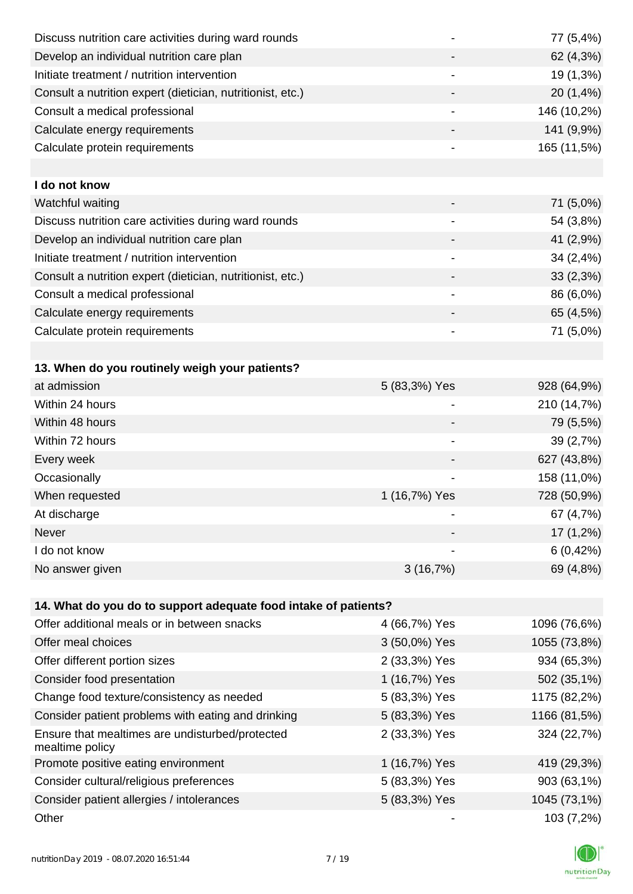| Discuss nutrition care activities during ward rounds       |               | 77 (5,4%)   |
|------------------------------------------------------------|---------------|-------------|
| Develop an individual nutrition care plan                  |               | 62 (4,3%)   |
| Initiate treatment / nutrition intervention                |               | 19 (1,3%)   |
| Consult a nutrition expert (dietician, nutritionist, etc.) |               | 20 (1,4%)   |
| Consult a medical professional                             |               | 146 (10,2%) |
| Calculate energy requirements                              |               | 141 (9,9%)  |
| Calculate protein requirements                             |               | 165 (11,5%) |
|                                                            |               |             |
| I do not know                                              |               |             |
| Watchful waiting                                           |               | 71 (5,0%)   |
| Discuss nutrition care activities during ward rounds       | -             | 54 (3,8%)   |
| Develop an individual nutrition care plan                  |               | 41 (2,9%)   |
| Initiate treatment / nutrition intervention                |               | 34 (2,4%)   |
| Consult a nutrition expert (dietician, nutritionist, etc.) |               | 33(2,3%)    |
| Consult a medical professional                             |               | 86 (6,0%)   |
| Calculate energy requirements                              |               | 65 (4,5%)   |
| Calculate protein requirements                             |               | 71 (5,0%)   |
|                                                            |               |             |
| 13. When do you routinely weigh your patients?             |               |             |
| at admission                                               | 5 (83,3%) Yes | 928 (64,9%) |
| Within 24 hours                                            |               | 210 (14,7%) |
| Within 48 hours                                            |               | 79 (5,5%)   |

| Within 72 hours | -             | 39(2,7%)    |
|-----------------|---------------|-------------|
| Every week      |               | 627 (43,8%) |
| Occasionally    |               | 158 (11,0%) |
| When requested  | 1 (16,7%) Yes | 728 (50,9%) |
| At discharge    |               | 67 (4,7%)   |
| Never           | -             | $17(1,2\%)$ |
| I do not know   | -             | 6(0,42%)    |
| No answer given | 3(16,7%)      | 69 (4,8%)   |

| 14. What do you do to support adequate food intake of patients?    |               |              |
|--------------------------------------------------------------------|---------------|--------------|
| Offer additional meals or in between snacks                        | 4 (66,7%) Yes | 1096 (76,6%) |
| Offer meal choices                                                 | 3 (50,0%) Yes | 1055 (73,8%) |
| Offer different portion sizes                                      | 2 (33,3%) Yes | 934 (65,3%)  |
| Consider food presentation                                         | 1 (16,7%) Yes | 502 (35,1%)  |
| Change food texture/consistency as needed                          | 5 (83,3%) Yes | 1175 (82,2%) |
| Consider patient problems with eating and drinking                 | 5 (83,3%) Yes | 1166 (81,5%) |
| Ensure that mealtimes are undisturbed/protected<br>mealtime policy | 2 (33,3%) Yes | 324 (22,7%)  |
| Promote positive eating environment                                | 1 (16,7%) Yes | 419 (29,3%)  |
| Consider cultural/religious preferences                            | 5 (83,3%) Yes | 903 (63,1%)  |
| Consider patient allergies / intolerances                          | 5 (83,3%) Yes | 1045 (73,1%) |
| Other                                                              |               | 103 (7,2%)   |

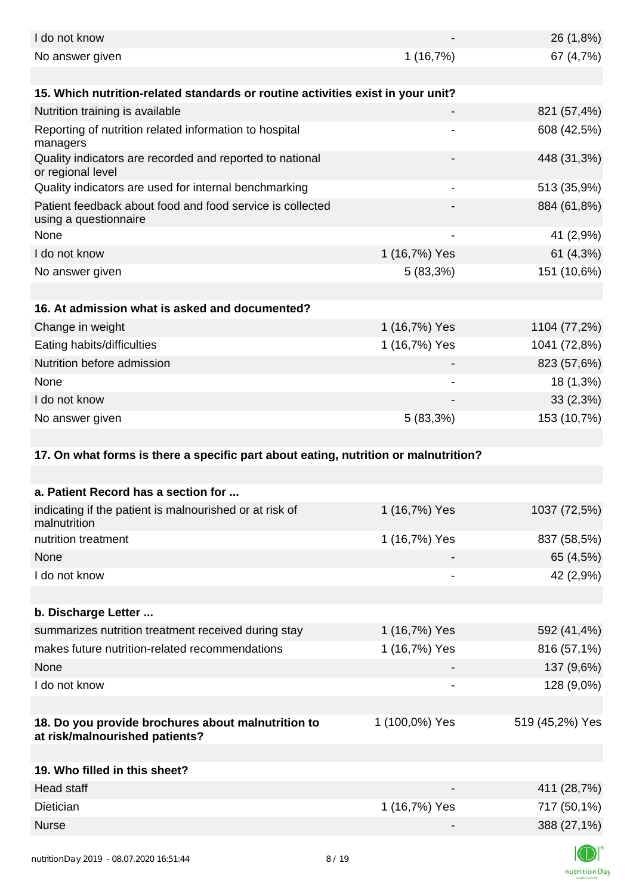| I do not know                                                                        |                          | 26 (1,8%)       |
|--------------------------------------------------------------------------------------|--------------------------|-----------------|
| No answer given                                                                      | 1(16,7%)                 | 67 (4,7%)       |
|                                                                                      |                          |                 |
| 15. Which nutrition-related standards or routine activities exist in your unit?      |                          |                 |
| Nutrition training is available                                                      |                          | 821 (57,4%)     |
| Reporting of nutrition related information to hospital<br>managers                   |                          | 608 (42,5%)     |
| Quality indicators are recorded and reported to national<br>or regional level        |                          | 448 (31,3%)     |
| Quality indicators are used for internal benchmarking                                |                          | 513 (35,9%)     |
| Patient feedback about food and food service is collected<br>using a questionnaire   |                          | 884 (61,8%)     |
| None                                                                                 | $\overline{\phantom{a}}$ | 41 (2,9%)       |
| I do not know                                                                        | 1 (16,7%) Yes            | 61 (4,3%)       |
| No answer given                                                                      | $5(83,3\%)$              | 151 (10,6%)     |
|                                                                                      |                          |                 |
| 16. At admission what is asked and documented?                                       |                          |                 |
| Change in weight                                                                     | 1 (16,7%) Yes            | 1104 (77,2%)    |
| Eating habits/difficulties                                                           | 1 (16,7%) Yes            | 1041 (72,8%)    |
| Nutrition before admission                                                           |                          | 823 (57,6%)     |
| None                                                                                 |                          | 18 (1,3%)       |
| I do not know                                                                        |                          | 33(2,3%)        |
| No answer given                                                                      | 5(83,3%)                 | 153 (10,7%)     |
|                                                                                      |                          |                 |
| 17. On what forms is there a specific part about eating, nutrition or malnutrition?  |                          |                 |
|                                                                                      |                          |                 |
| a. Patient Record has a section for                                                  |                          |                 |
| indicating if the patient is malnourished or at risk of<br>malnutrition              | 1 (16,7%) Yes            | 1037 (72,5%)    |
| nutrition treatment                                                                  | 1 (16,7%) Yes            | 837 (58,5%)     |
| None                                                                                 |                          | 65 (4,5%)       |
| I do not know                                                                        |                          | 42 (2,9%)       |
|                                                                                      |                          |                 |
| b. Discharge Letter                                                                  |                          |                 |
| summarizes nutrition treatment received during stay                                  | 1 (16,7%) Yes            | 592 (41,4%)     |
| makes future nutrition-related recommendations                                       | 1 (16,7%) Yes            | 816 (57,1%)     |
| None                                                                                 |                          | 137 (9,6%)      |
| I do not know                                                                        |                          | 128 (9,0%)      |
|                                                                                      |                          |                 |
| 18. Do you provide brochures about malnutrition to<br>at risk/malnourished patients? | 1 (100,0%) Yes           | 519 (45,2%) Yes |
| 19. Who filled in this sheet?                                                        |                          |                 |
| <b>Head staff</b>                                                                    |                          | 411 (28,7%)     |
| Dietician                                                                            | 1 (16,7%) Yes            | 717 (50,1%)     |
| <b>Nurse</b>                                                                         |                          | 388 (27,1%)     |
|                                                                                      |                          |                 |
|                                                                                      |                          |                 |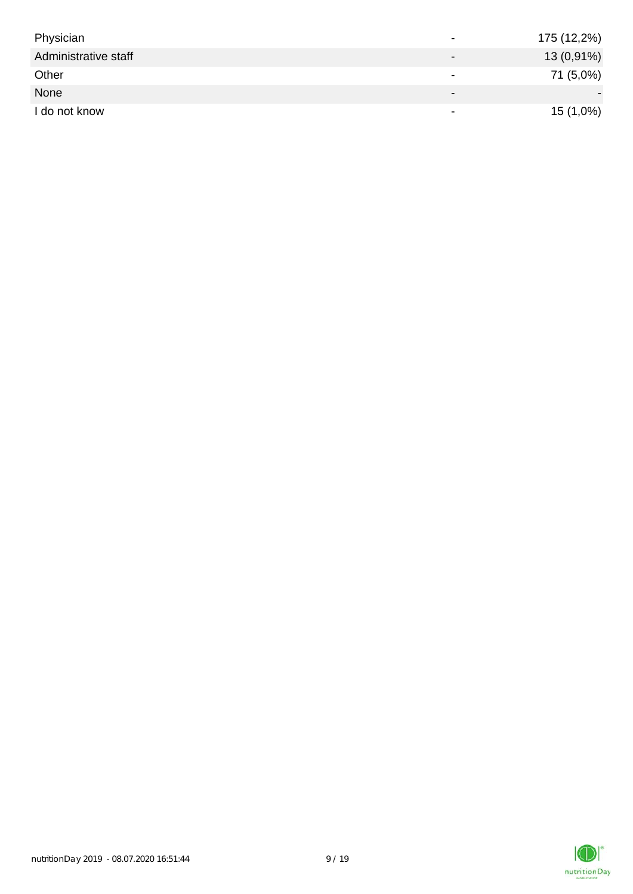| Physician            | $\overline{\phantom{0}}$ | 175 (12,2%) |
|----------------------|--------------------------|-------------|
| Administrative staff |                          | 13 (0,91%)  |
| Other                | $\overline{\phantom{0}}$ | 71 (5,0%)   |
| None                 | $\overline{\phantom{0}}$ |             |
| I do not know        | $\overline{\phantom{a}}$ | $15(1,0\%)$ |

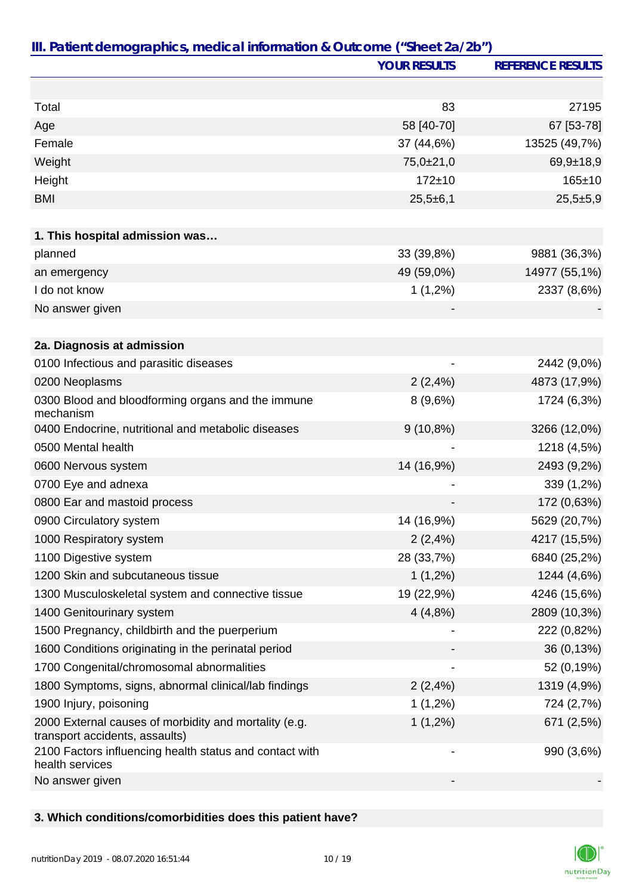|                                                                                         | <b>YOUR RESULTS</b>      | <b>REFERENCE RESULTS</b> |
|-----------------------------------------------------------------------------------------|--------------------------|--------------------------|
|                                                                                         |                          |                          |
| Total                                                                                   | 83                       | 27195                    |
| Age                                                                                     | 58 [40-70]               | 67 [53-78]               |
| Female                                                                                  | 37 (44,6%)               | 13525 (49,7%)            |
| Weight                                                                                  | $75,0{\pm}21,0$          | $69,9+18,9$              |
| Height                                                                                  | $172 + 10$               | $165 \pm 10$             |
| <b>BMI</b>                                                                              | $25,5+6,1$               | $25,5+5,9$               |
|                                                                                         |                          |                          |
| 1. This hospital admission was                                                          |                          |                          |
| planned                                                                                 | 33 (39,8%)               | 9881 (36,3%)             |
| an emergency                                                                            | 49 (59,0%)               | 14977 (55,1%)            |
| I do not know                                                                           | $1(1,2\%)$               | 2337 (8,6%)              |
| No answer given                                                                         |                          |                          |
|                                                                                         |                          |                          |
| 2a. Diagnosis at admission                                                              |                          |                          |
| 0100 Infectious and parasitic diseases                                                  | -                        | 2442 (9,0%)              |
| 0200 Neoplasms                                                                          | 2(2,4%)                  | 4873 (17,9%)             |
| 0300 Blood and bloodforming organs and the immune<br>mechanism                          | 8(9,6%)                  | 1724 (6,3%)              |
| 0400 Endocrine, nutritional and metabolic diseases                                      | $9(10,8\%)$              | 3266 (12,0%)             |
| 0500 Mental health                                                                      |                          | 1218 (4,5%)              |
| 0600 Nervous system                                                                     | 14 (16,9%)               | 2493 (9,2%)              |
| 0700 Eye and adnexa                                                                     |                          | 339 (1,2%)               |
| 0800 Ear and mastoid process                                                            |                          | 172 (0,63%)              |
| 0900 Circulatory system                                                                 | 14 (16,9%)               | 5629 (20,7%)             |
| 1000 Respiratory system                                                                 | 2(2,4%)                  | 4217 (15,5%)             |
| 1100 Digestive system                                                                   | 28 (33,7%)               | 6840 (25,2%)             |
| 1200 Skin and subcutaneous tissue                                                       | $1(1,2\%)$               | 1244 (4,6%)              |
| 1300 Musculoskeletal system and connective tissue                                       | 19 (22,9%)               | 4246 (15,6%)             |
| 1400 Genitourinary system                                                               | 4(4,8%)                  | 2809 (10,3%)             |
| 1500 Pregnancy, childbirth and the puerperium                                           |                          | 222 (0,82%)              |
| 1600 Conditions originating in the perinatal period                                     |                          | 36 (0,13%)               |
| 1700 Congenital/chromosomal abnormalities                                               |                          | 52 (0,19%)               |
| 1800 Symptoms, signs, abnormal clinical/lab findings                                    | 2(2,4%)                  | 1319 (4,9%)              |
| 1900 Injury, poisoning                                                                  | $1(1,2\%)$               | 724 (2,7%)               |
| 2000 External causes of morbidity and mortality (e.g.<br>transport accidents, assaults) | $1(1,2\%)$               | 671 (2,5%)               |
| 2100 Factors influencing health status and contact with<br>health services              | $\overline{\phantom{a}}$ | 990 (3,6%)               |
| No answer given                                                                         |                          |                          |

#### **3. Which conditions/comorbidities does this patient have?**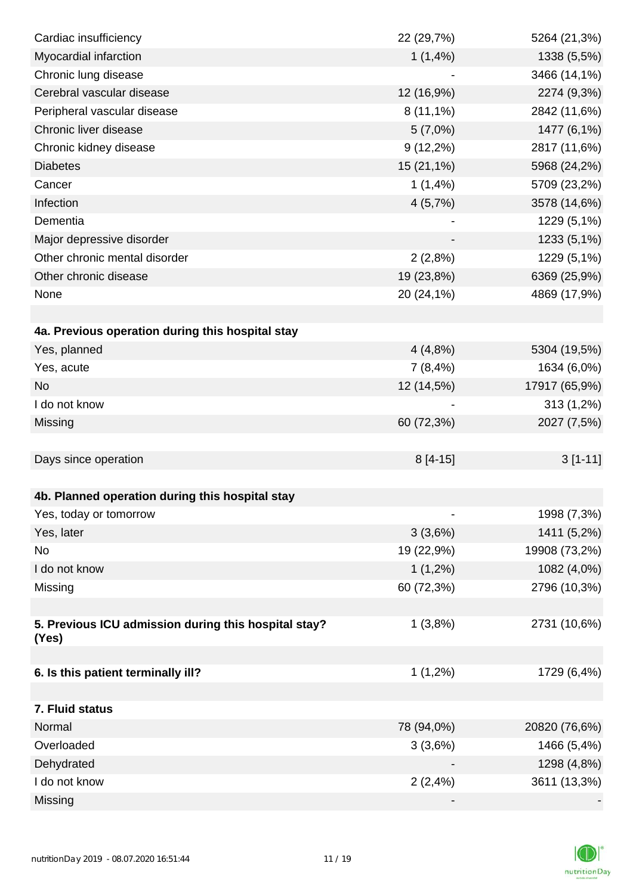| Cardiac insufficiency                                | 22 (29,7%)  | 5264 (21,3%)  |
|------------------------------------------------------|-------------|---------------|
| Myocardial infarction                                | 1(1,4%)     | 1338 (5,5%)   |
| Chronic lung disease                                 |             | 3466 (14,1%)  |
| Cerebral vascular disease                            | 12 (16,9%)  | 2274 (9,3%)   |
| Peripheral vascular disease                          | $8(11,1\%)$ | 2842 (11,6%)  |
| Chronic liver disease                                | 5(7,0%)     | 1477 (6,1%)   |
| Chronic kidney disease                               | $9(12,2\%)$ | 2817 (11,6%)  |
| <b>Diabetes</b>                                      | 15 (21,1%)  | 5968 (24,2%)  |
| Cancer                                               | 1(1,4%)     | 5709 (23,2%)  |
| Infection                                            | 4(5,7%)     | 3578 (14,6%)  |
| Dementia                                             |             | 1229 (5,1%)   |
| Major depressive disorder                            |             | 1233 (5,1%)   |
| Other chronic mental disorder                        | 2(2,8%)     | 1229 (5,1%)   |
| Other chronic disease                                | 19 (23,8%)  | 6369 (25,9%)  |
| None                                                 | 20 (24,1%)  | 4869 (17,9%)  |
|                                                      |             |               |
| 4a. Previous operation during this hospital stay     |             |               |
| Yes, planned                                         | 4(4,8%)     | 5304 (19,5%)  |
| Yes, acute                                           | 7(8,4%)     | 1634 (6,0%)   |
| <b>No</b>                                            | 12 (14,5%)  | 17917 (65,9%) |
| I do not know                                        |             | 313 (1,2%)    |
| Missing                                              | 60 (72,3%)  | 2027 (7,5%)   |
|                                                      |             |               |
| Days since operation                                 | $8[4-15]$   | $3[1-11]$     |
|                                                      |             |               |
| 4b. Planned operation during this hospital stay      |             |               |
| Yes, today or tomorrow                               |             | 1998 (7,3%)   |
| Yes, later                                           | 3(3,6%)     | 1411 (5,2%)   |
| No                                                   | 19 (22,9%)  | 19908 (73,2%) |
| I do not know                                        | $1(1,2\%)$  | 1082 (4,0%)   |
| Missing                                              | 60 (72,3%)  | 2796 (10,3%)  |
|                                                      |             |               |
| 5. Previous ICU admission during this hospital stay? | 1(3,8%)     | 2731 (10,6%)  |
| (Yes)                                                |             |               |
|                                                      |             |               |
| 6. Is this patient terminally ill?                   | $1(1,2\%)$  | 1729 (6,4%)   |
|                                                      |             |               |
| 7. Fluid status                                      |             |               |
| Normal                                               | 78 (94,0%)  | 20820 (76,6%) |
| Overloaded                                           | 3(3,6%)     | 1466 (5,4%)   |
| Dehydrated                                           |             | 1298 (4,8%)   |
| I do not know                                        | 2(2,4%)     | 3611 (13,3%)  |
| Missing                                              |             |               |

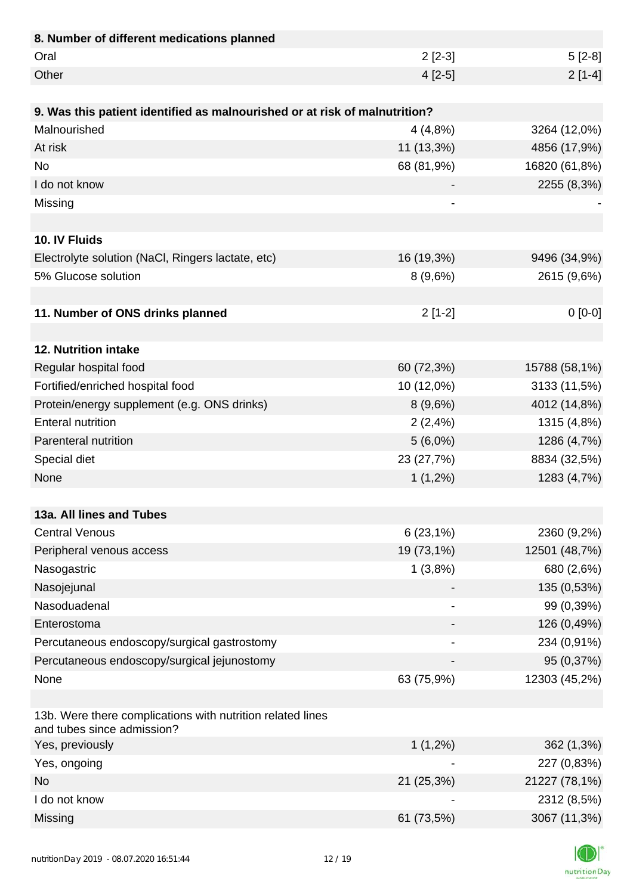| 8. Number of different medications planned                                               |            |               |
|------------------------------------------------------------------------------------------|------------|---------------|
| Oral                                                                                     | $2[2-3]$   | $5[2-8]$      |
| Other                                                                                    | $4[2-5]$   | $2[1-4]$      |
|                                                                                          |            |               |
| 9. Was this patient identified as malnourished or at risk of malnutrition?               |            |               |
| Malnourished                                                                             | 4(4,8%)    | 3264 (12,0%)  |
| At risk                                                                                  | 11 (13,3%) | 4856 (17,9%)  |
| <b>No</b>                                                                                | 68 (81,9%) | 16820 (61,8%) |
| I do not know                                                                            |            | 2255 (8,3%)   |
| Missing                                                                                  |            |               |
|                                                                                          |            |               |
| 10. IV Fluids                                                                            |            |               |
| Electrolyte solution (NaCl, Ringers lactate, etc)                                        | 16 (19,3%) | 9496 (34,9%)  |
| 5% Glucose solution                                                                      | 8(9,6%)    | 2615 (9,6%)   |
|                                                                                          |            |               |
| 11. Number of ONS drinks planned                                                         | $2[1-2]$   | $0[0-0]$      |
|                                                                                          |            |               |
| 12. Nutrition intake                                                                     |            |               |
| Regular hospital food                                                                    | 60 (72,3%) | 15788 (58,1%) |
| Fortified/enriched hospital food                                                         | 10 (12,0%) | 3133 (11,5%)  |
| Protein/energy supplement (e.g. ONS drinks)                                              | 8(9,6%)    | 4012 (14,8%)  |
| <b>Enteral nutrition</b>                                                                 | 2(2,4%)    | 1315 (4,8%)   |
| Parenteral nutrition                                                                     | $5(6,0\%)$ | 1286 (4,7%)   |
| Special diet                                                                             | 23 (27,7%) | 8834 (32,5%)  |
| None                                                                                     | $1(1,2\%)$ | 1283 (4,7%)   |
|                                                                                          |            |               |
| 13a. All lines and Tubes                                                                 |            |               |
| <b>Central Venous</b>                                                                    | 6(23,1%)   | 2360 (9,2%)   |
| Peripheral venous access                                                                 | 19 (73,1%) | 12501 (48,7%) |
| Nasogastric                                                                              | 1(3,8%)    | 680 (2,6%)    |
| Nasojejunal                                                                              |            | 135 (0,53%)   |
| Nasoduadenal                                                                             |            | 99 (0,39%)    |
| Enterostoma                                                                              |            | 126 (0,49%)   |
| Percutaneous endoscopy/surgical gastrostomy                                              |            | 234 (0,91%)   |
| Percutaneous endoscopy/surgical jejunostomy                                              |            | 95 (0,37%)    |
| None                                                                                     | 63 (75,9%) | 12303 (45,2%) |
|                                                                                          |            |               |
| 13b. Were there complications with nutrition related lines<br>and tubes since admission? |            |               |
| Yes, previously                                                                          | $1(1,2\%)$ | 362 (1,3%)    |
| Yes, ongoing                                                                             |            | 227 (0,83%)   |
| <b>No</b>                                                                                | 21 (25,3%) | 21227 (78,1%) |
| I do not know                                                                            |            | 2312 (8,5%)   |
| Missing                                                                                  | 61 (73,5%) | 3067 (11,3%)  |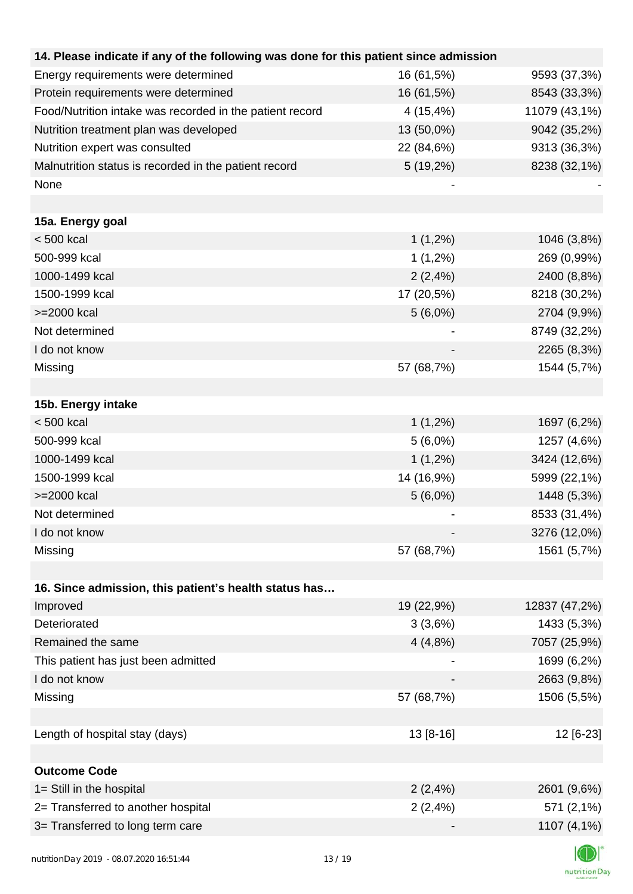| 14. Please indicate if any of the following was done for this patient since admission |            |               |
|---------------------------------------------------------------------------------------|------------|---------------|
| Energy requirements were determined                                                   | 16 (61,5%) | 9593 (37,3%)  |
| Protein requirements were determined                                                  | 16 (61,5%) | 8543 (33,3%)  |
| Food/Nutrition intake was recorded in the patient record                              | 4 (15,4%)  | 11079 (43,1%) |
| Nutrition treatment plan was developed                                                | 13 (50,0%) | 9042 (35,2%)  |
| Nutrition expert was consulted                                                        | 22 (84,6%) | 9313 (36,3%)  |
| Malnutrition status is recorded in the patient record                                 | 5 (19,2%)  | 8238 (32,1%)  |
| None                                                                                  |            |               |
| 15a. Energy goal                                                                      |            |               |
| $< 500$ kcal                                                                          | $1(1,2\%)$ | 1046 (3,8%)   |
| 500-999 kcal                                                                          | $1(1,2\%)$ | 269 (0,99%)   |
| 1000-1499 kcal                                                                        | 2(2,4%)    | 2400 (8,8%)   |
| 1500-1999 kcal                                                                        | 17 (20,5%) | 8218 (30,2%)  |
| >=2000 kcal                                                                           | $5(6,0\%)$ | 2704 (9,9%)   |
| Not determined                                                                        |            | 8749 (32,2%)  |
| I do not know                                                                         |            | 2265 (8,3%)   |
| Missing                                                                               | 57 (68,7%) | 1544 (5,7%)   |
|                                                                                       |            |               |
| 15b. Energy intake                                                                    |            |               |
| $< 500$ kcal                                                                          | $1(1,2\%)$ | 1697 (6,2%)   |
| 500-999 kcal                                                                          | $5(6,0\%)$ | 1257 (4,6%)   |
| 1000-1499 kcal                                                                        | $1(1,2\%)$ | 3424 (12,6%)  |
| 1500-1999 kcal                                                                        | 14 (16,9%) | 5999 (22,1%)  |
| >=2000 kcal                                                                           | $5(6,0\%)$ | 1448 (5,3%)   |
| Not determined                                                                        |            | 8533 (31,4%)  |
| I do not know                                                                         |            | 3276 (12,0%)  |
| Missing                                                                               | 57 (68,7%) | 1561 (5,7%)   |
|                                                                                       |            |               |
| 16. Since admission, this patient's health status has                                 |            |               |
| Improved                                                                              | 19 (22,9%) | 12837 (47,2%) |
| Deteriorated                                                                          | 3(3,6%)    | 1433 (5,3%)   |
| Remained the same                                                                     | 4(4,8%)    | 7057 (25,9%)  |
| This patient has just been admitted                                                   |            | 1699 (6,2%)   |
| I do not know                                                                         |            | 2663 (9,8%)   |
| Missing                                                                               | 57 (68,7%) | 1506 (5,5%)   |
|                                                                                       |            |               |
| Length of hospital stay (days)                                                        | 13 [8-16]  | 12 [6-23]     |
|                                                                                       |            |               |
| <b>Outcome Code</b>                                                                   |            |               |
| 1= Still in the hospital                                                              | 2(2,4%)    | 2601 (9,6%)   |
| 2= Transferred to another hospital                                                    | 2(2,4%)    | 571 (2,1%)    |
| 3= Transferred to long term care                                                      |            | 1107 (4,1%)   |
|                                                                                       |            |               |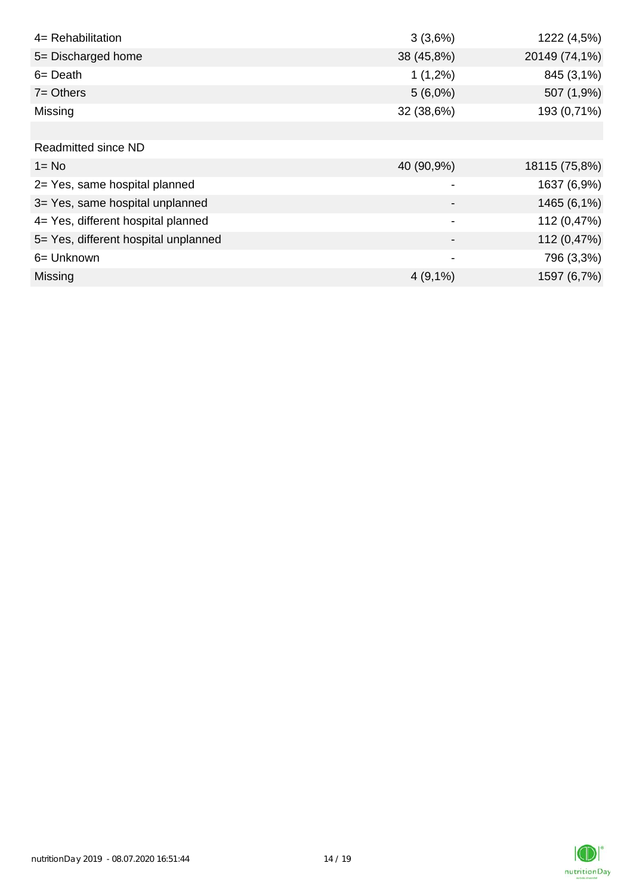| 4= Rehabilitation                    | 3(3,6%)        | 1222 (4,5%)   |
|--------------------------------------|----------------|---------------|
| 5= Discharged home                   | 38 (45,8%)     | 20149 (74,1%) |
| $6 = \text{Death}$                   | $1(1,2\%)$     | 845 (3,1%)    |
| $7 =$ Others                         | $5(6,0\%)$     | 507 (1,9%)    |
| Missing                              | 32 (38,6%)     | 193 (0,71%)   |
|                                      |                |               |
| <b>Readmitted since ND</b>           |                |               |
| $1 = No$                             | 40 (90,9%)     | 18115 (75,8%) |
| 2= Yes, same hospital planned        |                | 1637 (6,9%)   |
| 3= Yes, same hospital unplanned      |                | 1465 (6,1%)   |
| 4= Yes, different hospital planned   | $\blacksquare$ | 112 (0,47%)   |
| 5= Yes, different hospital unplanned |                | 112 (0,47%)   |
| 6= Unknown                           |                | 796 (3,3%)    |
| Missing                              | $4(9,1\%)$     | 1597 (6,7%)   |

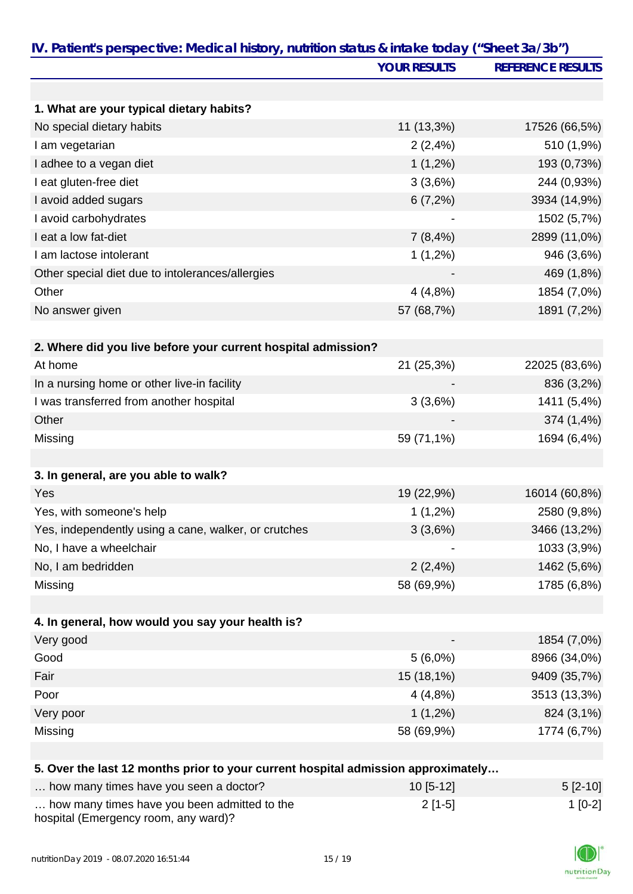|                                                                                   | <b>YOUR RESULTS</b> | <b>REFERENCE RESULTS</b> |
|-----------------------------------------------------------------------------------|---------------------|--------------------------|
|                                                                                   |                     |                          |
| 1. What are your typical dietary habits?                                          |                     |                          |
| No special dietary habits                                                         | 11 (13,3%)          | 17526 (66,5%)            |
| I am vegetarian                                                                   | 2(2,4%)             | 510 (1,9%)               |
| I adhee to a vegan diet                                                           | $1(1,2\%)$          | 193 (0,73%)              |
| I eat gluten-free diet                                                            | 3(3,6%)             | 244 (0,93%)              |
| I avoid added sugars                                                              | 6(7,2%)             | 3934 (14,9%)             |
| I avoid carbohydrates                                                             |                     | 1502 (5,7%)              |
| I eat a low fat-diet                                                              | 7(8,4%)             | 2899 (11,0%)             |
| I am lactose intolerant                                                           | $1(1,2\%)$          | 946 (3,6%)               |
| Other special diet due to intolerances/allergies                                  |                     | 469 (1,8%)               |
| Other                                                                             | 4(4,8%)             | 1854 (7,0%)              |
| No answer given                                                                   | 57 (68,7%)          | 1891 (7,2%)              |
|                                                                                   |                     |                          |
| 2. Where did you live before your current hospital admission?                     |                     |                          |
| At home                                                                           | 21 (25,3%)          | 22025 (83,6%)            |
| In a nursing home or other live-in facility                                       |                     | 836 (3,2%)               |
| I was transferred from another hospital                                           | 3(3,6%)             | 1411 (5,4%)              |
| Other                                                                             |                     | 374 (1,4%)               |
| Missing                                                                           | 59 (71,1%)          | 1694 (6,4%)              |
|                                                                                   |                     |                          |
| 3. In general, are you able to walk?                                              |                     |                          |
| Yes                                                                               | 19 (22,9%)          | 16014 (60,8%)            |
| Yes, with someone's help                                                          | $1(1,2\%)$          | 2580 (9,8%)              |
| Yes, independently using a cane, walker, or crutches                              | 3(3,6%)             | 3466 (13,2%)             |
| No, I have a wheelchair                                                           |                     | 1033 (3,9%)              |
| No, I am bedridden                                                                | 2(2,4%)             | 1462 (5,6%)              |
| Missing                                                                           | 58 (69,9%)          | 1785 (6,8%)              |
|                                                                                   |                     |                          |
| 4. In general, how would you say your health is?                                  |                     |                          |
| Very good                                                                         |                     | 1854 (7,0%)              |
| Good                                                                              | $5(6,0\%)$          | 8966 (34,0%)             |
| Fair                                                                              | 15 (18,1%)          | 9409 (35,7%)             |
| Poor                                                                              | 4(4,8%)             | 3513 (13,3%)             |
| Very poor                                                                         | $1(1,2\%)$          | 824 (3,1%)               |
| Missing                                                                           | 58 (69,9%)          | 1774 (6,7%)              |
|                                                                                   |                     |                          |
| 5. Over the last 12 months prior to your current hospital admission approximately |                     |                          |
| how many times have you seen a doctor?                                            | 10 [5-12]           | $5[2-10]$                |
| how many times have you been admitted to the                                      | $2[1-5]$            | $1[0-2]$                 |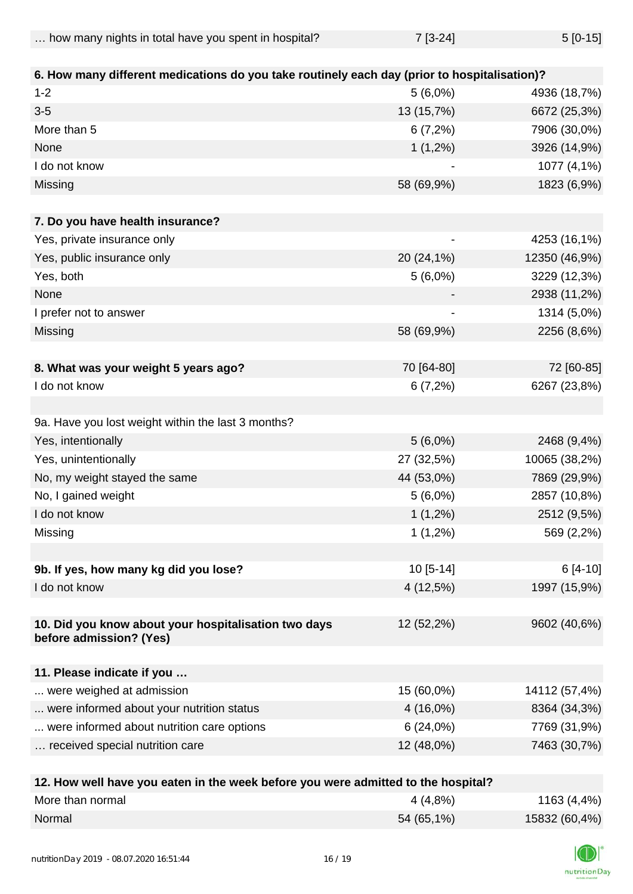| how many nights in total have you spent in hospital? | $7 [3-24]$ | $5[0-15]$ |
|------------------------------------------------------|------------|-----------|
|                                                      |            |           |

| 6. How many different medications do you take routinely each day (prior to hospitalisation)? |             |               |
|----------------------------------------------------------------------------------------------|-------------|---------------|
| $1 - 2$                                                                                      | $5(6,0\%)$  | 4936 (18,7%)  |
| $3-5$                                                                                        | 13 (15,7%)  | 6672 (25,3%)  |
| More than 5                                                                                  | 6(7,2%)     | 7906 (30,0%)  |
| None                                                                                         | $1(1,2\%)$  | 3926 (14,9%)  |
| I do not know                                                                                |             | 1077 (4,1%)   |
| Missing                                                                                      | 58 (69,9%)  | 1823 (6,9%)   |
| 7. Do you have health insurance?                                                             |             |               |
| Yes, private insurance only                                                                  | -           | 4253 (16,1%)  |
| Yes, public insurance only                                                                   | 20 (24,1%)  | 12350 (46,9%) |
| Yes, both                                                                                    | $5(6,0\%)$  | 3229 (12,3%)  |
| None                                                                                         |             | 2938 (11,2%)  |
| I prefer not to answer                                                                       |             | 1314 (5,0%)   |
| Missing                                                                                      | 58 (69,9%)  | 2256 (8,6%)   |
|                                                                                              |             |               |
| 8. What was your weight 5 years ago?                                                         | 70 [64-80]  | 72 [60-85]    |
| I do not know                                                                                | 6(7,2%)     | 6267 (23,8%)  |
|                                                                                              |             |               |
| 9a. Have you lost weight within the last 3 months?                                           |             |               |
| Yes, intentionally                                                                           | $5(6,0\%)$  | 2468 (9,4%)   |
| Yes, unintentionally                                                                         | 27 (32,5%)  | 10065 (38,2%) |
| No, my weight stayed the same                                                                | 44 (53,0%)  | 7869 (29,9%)  |
| No, I gained weight                                                                          | $5(6,0\%)$  | 2857 (10,8%)  |
| I do not know                                                                                | $1(1,2\%)$  | 2512 (9,5%)   |
| Missing                                                                                      | $1(1,2\%)$  | 569 (2,2%)    |
|                                                                                              |             |               |
| 9b. If yes, how many kg did you lose?                                                        | $10[5-14]$  | $6[4-10]$     |
| I do not know                                                                                | 4 (12,5%)   | 1997 (15,9%)  |
| 10. Did you know about your hospitalisation two days<br>before admission? (Yes)              | 12 (52,2%)  | 9602 (40,6%)  |
|                                                                                              |             |               |
| 11. Please indicate if you                                                                   |             |               |
| were weighed at admission                                                                    | 15 (60,0%)  | 14112 (57,4%) |
| were informed about your nutrition status                                                    | $4(16,0\%)$ | 8364 (34,3%)  |
| were informed about nutrition care options                                                   | 6(24,0%)    | 7769 (31,9%)  |
| received special nutrition care                                                              | 12 (48,0%)  | 7463 (30,7%)  |
|                                                                                              |             |               |

| 12. How well have you eaten in the week before you were admitted to the hospital? |            |               |
|-----------------------------------------------------------------------------------|------------|---------------|
| More than normal                                                                  | 4 (4,8%)   | 1163 (4,4%)   |
| Normal                                                                            | 54 (65,1%) | 15832 (60,4%) |

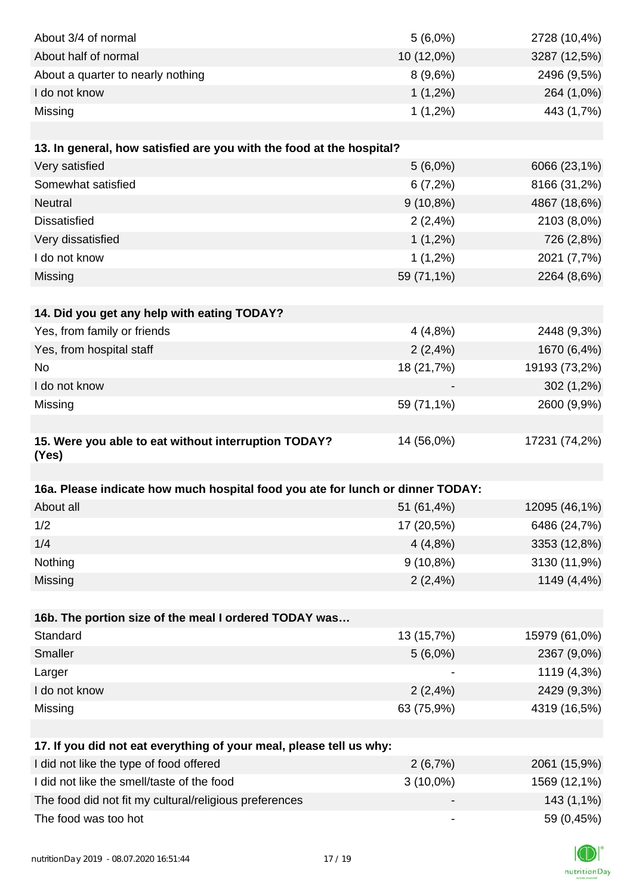| About 3/4 of normal                                                            | $5(6,0\%)$                   | 2728 (10,4%)  |
|--------------------------------------------------------------------------------|------------------------------|---------------|
| About half of normal                                                           | 10 (12,0%)                   | 3287 (12,5%)  |
| About a quarter to nearly nothing                                              | 8(9,6%)                      | 2496 (9,5%)   |
| I do not know                                                                  | $1(1,2\%)$                   | 264 (1,0%)    |
| Missing                                                                        | $1(1,2\%)$                   | 443 (1,7%)    |
|                                                                                |                              |               |
| 13. In general, how satisfied are you with the food at the hospital?           |                              |               |
| Very satisfied                                                                 | $5(6,0\%)$                   | 6066 (23,1%)  |
| Somewhat satisfied                                                             | 6(7,2%)                      | 8166 (31,2%)  |
| Neutral                                                                        | $9(10,8\%)$                  | 4867 (18,6%)  |
| <b>Dissatisfied</b>                                                            | 2(2,4%)                      | 2103 (8,0%)   |
| Very dissatisfied                                                              | $1(1,2\%)$                   | 726 (2,8%)    |
| I do not know                                                                  | $1(1,2\%)$                   | 2021 (7,7%)   |
| Missing                                                                        | 59 (71,1%)                   | 2264 (8,6%)   |
|                                                                                |                              |               |
| 14. Did you get any help with eating TODAY?                                    |                              |               |
| Yes, from family or friends                                                    | 4(4,8%)                      | 2448 (9,3%)   |
| Yes, from hospital staff                                                       | 2(2,4%)                      | 1670 (6,4%)   |
| No                                                                             | 18 (21,7%)                   | 19193 (73,2%) |
| I do not know                                                                  |                              | 302 (1,2%)    |
| Missing                                                                        | 59 (71,1%)                   | 2600 (9,9%)   |
|                                                                                |                              |               |
| 15. Were you able to eat without interruption TODAY?                           | 14 (56,0%)                   | 17231 (74,2%) |
| (Yes)                                                                          |                              |               |
|                                                                                |                              |               |
| 16a. Please indicate how much hospital food you ate for lunch or dinner TODAY: |                              |               |
| About all                                                                      | 51 (61,4%)                   | 12095 (46,1%) |
| 1/2                                                                            | 17 (20,5%)                   | 6486 (24,7%)  |
| 1/4                                                                            | 4(4,8%)                      | 3353 (12,8%)  |
| Nothing                                                                        | $9(10,8\%)$                  | 3130 (11,9%)  |
| Missing                                                                        | 2(2,4%)                      | 1149 (4,4%)   |
|                                                                                |                              |               |
| 16b. The portion size of the meal I ordered TODAY was                          |                              |               |
| Standard                                                                       | 13 (15,7%)                   | 15979 (61,0%) |
| Smaller                                                                        | $5(6,0\%)$                   | 2367 (9,0%)   |
| Larger                                                                         |                              | 1119 (4,3%)   |
| I do not know                                                                  | 2(2,4%)                      | 2429 (9,3%)   |
| Missing                                                                        | 63 (75,9%)                   | 4319 (16,5%)  |
|                                                                                |                              |               |
| 17. If you did not eat everything of your meal, please tell us why:            |                              |               |
| I did not like the type of food offered                                        | 2(6,7%)                      | 2061 (15,9%)  |
| I did not like the smell/taste of the food                                     | $3(10,0\%)$                  | 1569 (12,1%)  |
| The food did not fit my cultural/religious preferences                         |                              | 143 (1,1%)    |
| The food was too hot                                                           | $\qquad \qquad \blacksquare$ | 59 (0,45%)    |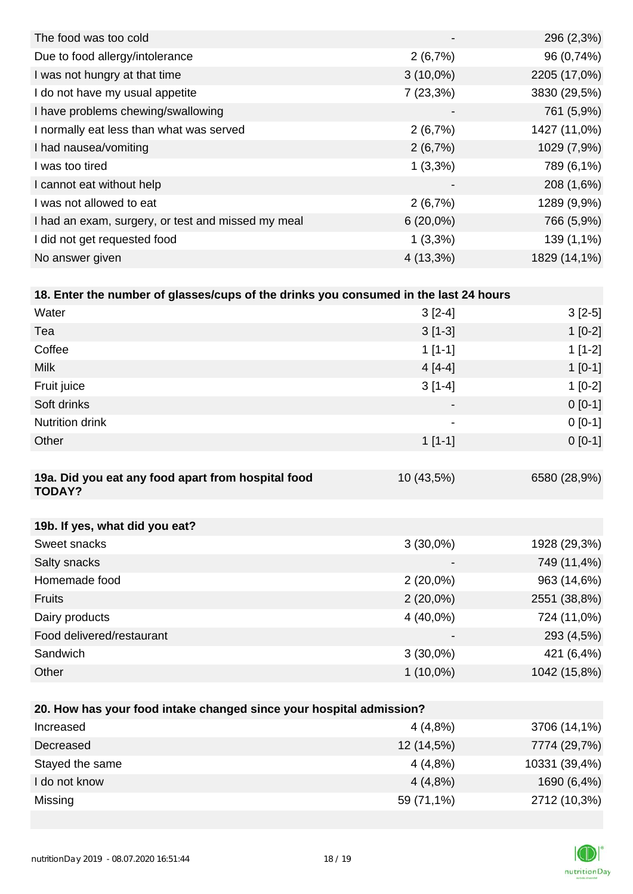|                          | 296 (2,3%)   |
|--------------------------|--------------|
| 2(6,7%)                  | 96 (0,74%)   |
| $3(10,0\%)$              | 2205 (17,0%) |
| 7(23,3%)                 | 3830 (29,5%) |
| $\overline{\phantom{a}}$ | 761 (5,9%)   |
| 2(6,7%)                  | 1427 (11,0%) |
| 2(6,7%)                  | 1029 (7,9%)  |
| $1(3,3\%)$               | 789 (6,1%)   |
| $\overline{\phantom{a}}$ | 208 (1,6%)   |
| 2(6,7%)                  | 1289 (9,9%)  |
| $6(20,0\%)$              | 766 (5,9%)   |
| $1(3,3\%)$               | 139 (1,1%)   |
| $4(13,3\%)$              | 1829 (14,1%) |
|                          |              |

| 18. Enter the number of glasses/cups of the drinks you consumed in the last 24 hours |                          |           |  |
|--------------------------------------------------------------------------------------|--------------------------|-----------|--|
| Water                                                                                | $3[2-4]$                 | $3[2-5]$  |  |
| Tea                                                                                  | $3[1-3]$                 | $1[0-2]$  |  |
| Coffee                                                                               | $1[1-1]$                 | $1[1-2]$  |  |
| <b>Milk</b>                                                                          | $4[4-4]$                 | $1$ [0-1] |  |
| Fruit juice                                                                          | $3[1-4]$                 | $1[0-2]$  |  |
| Soft drinks                                                                          | $\blacksquare$           | $0[0-1]$  |  |
| <b>Nutrition drink</b>                                                               | $\overline{\phantom{a}}$ | $0[0-1]$  |  |
| Other                                                                                | $1$ [1-1]                | $0[0-1]$  |  |

| 19a. Did you eat any food apart from hospital food<br><b>TODAY?</b> | 10 (43,5%)               | 6580 (28,9%) |
|---------------------------------------------------------------------|--------------------------|--------------|
|                                                                     |                          |              |
| 19b. If yes, what did you eat?                                      |                          |              |
| Sweet snacks                                                        | $3(30,0\%)$              | 1928 (29,3%) |
| Salty snacks                                                        | $\overline{\phantom{0}}$ | 749 (11,4%)  |
| Homemade food                                                       | $2(20,0\%)$              | 963 (14,6%)  |
| <b>Fruits</b>                                                       | $2(20,0\%)$              | 2551 (38,8%) |
| Dairy products                                                      | $4(40,0\%)$              | 724 (11,0%)  |
| Food delivered/restaurant                                           | $\overline{\phantom{0}}$ | 293 (4,5%)   |
| Sandwich                                                            | $3(30,0\%)$              | 421 (6,4%)   |

| 20. How has your food intake changed since your hospital admission? |            |               |  |
|---------------------------------------------------------------------|------------|---------------|--|
| Increased                                                           | 4(4,8%)    | 3706 (14,1%)  |  |
| Decreased                                                           | 12 (14,5%) | 7774 (29,7%)  |  |
| Stayed the same                                                     | 4(4,8%)    | 10331 (39,4%) |  |
| I do not know                                                       | 4(4,8%)    | 1690 (6,4%)   |  |
| Missing                                                             | 59 (71,1%) | 2712 (10,3%)  |  |

Other 1 (10,0%) 1042 (15,8%)